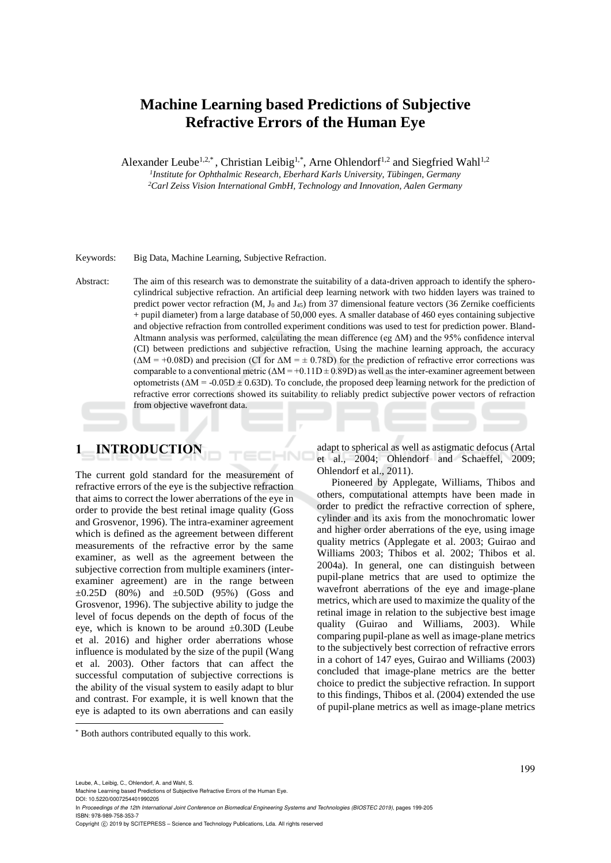# **Machine Learning based Predictions of Subjective Refractive Errors of the Human Eye**

Alexander Leube<sup>1,2,\*</sup>, Christian Leibig<sup>1,\*</sup>, Arne Ohlendorf<sup>1,2</sup> and Siegfried Wahl<sup>1,2</sup> *1 Institute for Ophthalmic Research, Eberhard Karls University, Tübingen, Germany*

*<sup>2</sup>Carl Zeiss Vision International GmbH, Technology and Innovation, Aalen Germany*

Keywords: Big Data, Machine Learning, Subjective Refraction.

Abstract: The aim of this research was to demonstrate the suitability of a data-driven approach to identify the spherocylindrical subjective refraction. An artificial deep learning network with two hidden layers was trained to predict power vector refraction (M,  $J_0$  and  $J_{45}$ ) from 37 dimensional feature vectors (36 Zernike coefficients + pupil diameter) from a large database of 50,000 eyes. A smaller database of 460 eyes containing subjective and objective refraction from controlled experiment conditions was used to test for prediction power. Bland-Altmann analysis was performed, calculating the mean difference (eg ΔM) and the 95% confidence interval (CI) between predictions and subjective refraction. Using the machine learning approach, the accuracy  $(\Delta M = +0.08D)$  and precision (CI for  $\Delta M = \pm 0.78D$ ) for the prediction of refractive error corrections was comparable to a conventional metric  $(\Delta M = +0.11D \pm 0.89D)$  as well as the inter-examiner agreement between optometrists ( $\Delta M = -0.05D \pm 0.63D$ ). To conclude, the proposed deep learning network for the prediction of refractive error corrections showed its suitability to reliably predict subjective power vectors of refraction from objective wavefront data.

# **1 INTRODUCTION**

The current gold standard for the measurement of refractive errors of the eye is the subjective refraction that aims to correct the lower aberrations of the eye in order to provide the best retinal image quality (Goss and Grosvenor, 1996). The intra-examiner agreement which is defined as the agreement between different measurements of the refractive error by the same examiner, as well as the agreement between the subjective correction from multiple examiners (interexaminer agreement) are in the range between  $\pm 0.25D$  (80%) and  $\pm 0.50D$  (95%) (Goss and Grosvenor, 1996). The subjective ability to judge the level of focus depends on the depth of focus of the eye, which is known to be around  $\pm 0.30D$  (Leube et al. 2016) and higher order aberrations whose influence is modulated by the size of the pupil (Wang et al*.* 2003). Other factors that can affect the successful computation of subjective corrections is the ability of the visual system to easily adapt to blur and contrast. For example, it is well known that the eye is adapted to its own aberrations and can easily

adapt to spherical as well as astigmatic defocus (Artal et al., 2004; Ohlendorf and Schaeffel, 2009; Ohlendorf et al., 2011).

Pioneered by Applegate, Williams, Thibos and others, computational attempts have been made in order to predict the refractive correction of sphere, cylinder and its axis from the monochromatic lower and higher order aberrations of the eye, using image quality metrics (Applegate et al. 2003; Guirao and Williams 2003; Thibos et al. 2002; Thibos et al. 2004a). In general, one can distinguish between pupil-plane metrics that are used to optimize the wavefront aberrations of the eye and image-plane metrics, which are used to maximize the quality of the retinal image in relation to the subjective best image quality (Guirao and Williams, 2003). While comparing pupil-plane as well as image-plane metrics to the subjectively best correction of refractive errors in a cohort of 147 eyes, Guirao and Williams (2003) concluded that image-plane metrics are the better choice to predict the subjective refraction. In support to this findings, Thibos et al. (2004) extended the use of pupil-plane metrics as well as image-plane metrics

Leube, A., Leibig, C., Ohlendorf, A. and Wahl, S.

 $\overline{a}$ 

DOI: 10.5220/0007254401990205 In *Proceedings of the 12th International Joint Conference on Biomedical Engineering Systems and Technologies (BIOSTEC 2019)*, pages 199-205 ISBN: 978-989-758-353-7

<sup>\*</sup> Both authors contributed equally to this work.

Machine Learning based Predictions of Subjective Refractive Errors of the Human Eye.

Copyright (C) 2019 by SCITEPRESS - Science and Technology Publications, Lda. All rights reserved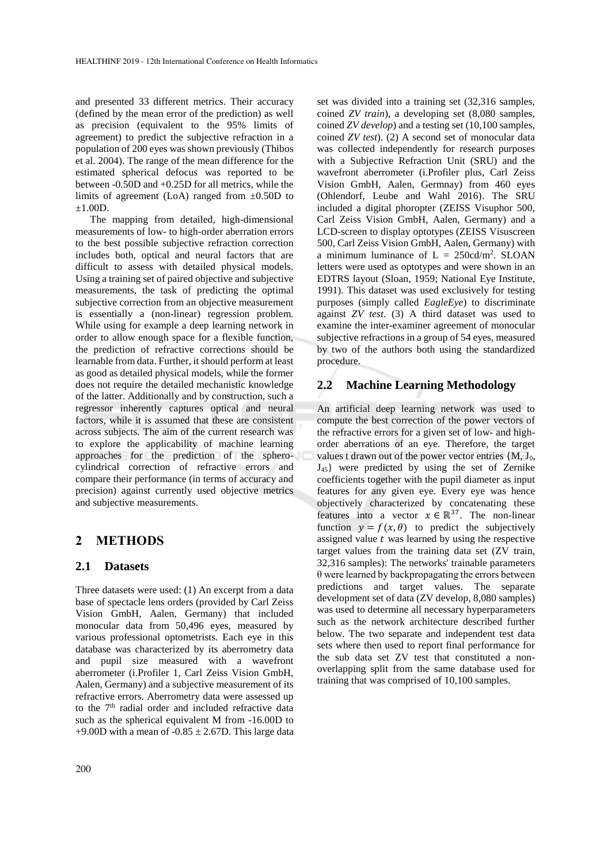and presented 33 different metrics. Their accuracy (defined by the mean error of the prediction) as well as precision (equivalent to the 95% limits of agreement) to predict the subjective refraction in a population of 200 eyes was shown previously (Thibos et al. 2004). The range of the mean difference for the estimated spherical defocus was reported to be between -0.50D and +0.25D for all metrics, while the limits of agreement (LoA) ranged from  $\pm 0.50D$  to  $±1.00D.$ 

The mapping from detailed, high-dimensional measurements of low- to high-order aberration errors to the best possible subjective refraction correction includes both, optical and neural factors that are difficult to assess with detailed physical models. Using a training set of paired objective and subjective measurements, the task of predicting the optimal subjective correction from an objective measurement is essentially a (non-linear) regression problem. While using for example a deep learning network in order to allow enough space for a flexible function, the prediction of refractive corrections should be learnable from data. Further, it should perform at least as good as detailed physical models, while the former does not require the detailed mechanistic knowledge of the latter. Additionally and by construction, such a regressor inherently captures optical and neural factors, while it is assumed that these are consistent across subjects. The aim of the current research was to explore the applicability of machine learning approaches for the prediction of the spherocylindrical correction of refractive errors and compare their performance (in terms of accuracy and precision) against currently used objective metrics and subjective measurements.

### **2 METHODS**

#### **2.1 Datasets**

Three datasets were used: (1) An excerpt from a data base of spectacle lens orders (provided by Carl Zeiss Vision GmbH, Aalen, Germany) that included monocular data from 50,496 eyes, measured by various professional optometrists. Each eye in this database was characterized by its aberrometry data and pupil size measured with a wavefront aberrometer (i.Profiler 1, Carl Zeiss Vision GmbH, Aalen, Germany) and a subjective measurement of its refractive errors. Aberrometry data were assessed up to the 7<sup>th</sup> radial order and included refractive data such as the spherical equivalent M from -16.00D to +9.00D with a mean of  $-0.85 \pm 2.67$ D. This large data

set was divided into a training set (32,316 samples, coined *ZV train*), a developing set (8,080 samples, coined *ZV develop*) and a testing set (10,100 samples, coined *ZV test*). (2) A second set of monocular data was collected independently for research purposes with a Subjective Refraction Unit (SRU) and the wavefront aberrometer (i.Profiler plus, Carl Zeiss Vision GmbH, Aalen, Germnay) from 460 eyes (Ohlendorf, Leube and Wahl 2016). The SRU included a digital phoropter (ZEISS Visuphor 500, Carl Zeiss Vision GmbH, Aalen, Germany) and a LCD-screen to display optotypes (ZEISS Visuscreen 500, Carl Zeiss Vision GmbH, Aalen, Germany) with a minimum luminance of  $L = 250cd/m^2$ . SLOAN letters were used as optotypes and were shown in an EDTRS layout (Sloan, 1959; National Eye Institute, 1991). This dataset was used exclusively for testing purposes (simply called *EagleEye*) to discriminate against *ZV test*. (3) A third dataset was used to examine the inter-examiner agreement of monocular subjective refractions in a group of 54 eyes, measured by two of the authors both using the standardized procedure.

#### **2.2 Machine Learning Methodology**

An artificial deep learning network was used to compute the best correction of the power vectors of the refractive errors for a given set of low- and highorder aberrations of an eye. Therefore, the target values t drawn out of the power vector entries {M, J0, J45} were predicted by using the set of Zernike coefficients together with the pupil diameter as input features for any given eye. Every eye was hence objectively characterized by concatenating these features into a vector  $x \in \mathbb{R}^{37}$ . The non-linear function  $y = f(x, \theta)$  to predict the subjectively assigned value  $t$  was learned by using the respective target values from the training data set (ZV train, 32,316 samples): The networks' trainable parameters θ were learned by backpropagating the errors between predictions and target values. The separate development set of data (ZV develop, 8,080 samples) was used to determine all necessary hyperparameters such as the network architecture described further below. The two separate and independent test data sets where then used to report final performance for the sub data set ZV test that constituted a nonoverlapping split from the same database used for training that was comprised of 10,100 samples.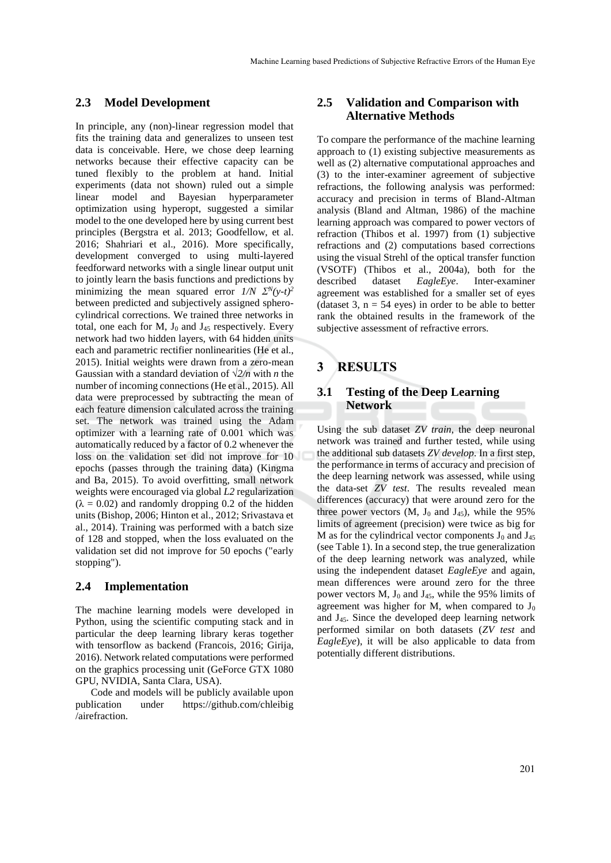### **2.3 Model Development**

In principle, any (non)-linear regression model that fits the training data and generalizes to unseen test data is conceivable. Here, we chose deep learning networks because their effective capacity can be tuned flexibly to the problem at hand. Initial experiments (data not shown) ruled out a simple linear model and Bayesian hyperparameter optimization using hyperopt, suggested a similar model to the one developed here by using current best principles (Bergstra et al. 2013; Goodfellow, et al. 2016; Shahriari et al., 2016). More specifically, development converged to using multi-layered feedforward networks with a single linear output unit to jointly learn the basis functions and predictions by minimizing the mean squared error  $1/N \sum_{i=1}^{N} (y-t)^2$ between predicted and subjectively assigned spherocylindrical corrections. We trained three networks in total, one each for  $M$ ,  $J_0$  and  $J_{45}$  respectively. Every network had two hidden layers, with 64 hidden units each and parametric rectifier nonlinearities (He et al., 2015). Initial weights were drawn from a zero-mean Gaussian with a standard deviation of *√2/n* with *n* the number of incoming connections (He et al., 2015). All data were preprocessed by subtracting the mean of each feature dimension calculated across the training set. The network was trained using the Adam optimizer with a learning rate of 0.001 which was automatically reduced by a factor of 0.2 whenever the loss on the validation set did not improve for 10 epochs (passes through the training data) (Kingma and Ba, 2015). To avoid overfitting, small network weights were encouraged via global *L2* regularization  $(\lambda = 0.02)$  and randomly dropping 0.2 of the hidden units (Bishop, 2006; Hinton et al., 2012; Srivastava et al., 2014). Training was performed with a batch size of 128 and stopped, when the loss evaluated on the validation set did not improve for 50 epochs ("early stopping").

#### **2.4 Implementation**

The machine learning models were developed in Python, using the scientific computing stack and in particular the deep learning library keras together with tensorflow as backend (Francois, 2016; Girija, 2016). Network related computations were performed on the graphics processing unit (GeForce GTX 1080 GPU, NVIDIA, Santa Clara, USA).

Code and models will be publicly available upon publication under https://github.com/chleibig /airefraction.

# **2.5 Validation and Comparison with Alternative Methods**

To compare the performance of the machine learning approach to (1) existing subjective measurements as well as (2) alternative computational approaches and (3) to the inter-examiner agreement of subjective refractions, the following analysis was performed: accuracy and precision in terms of Bland-Altman analysis (Bland and Altman, 1986) of the machine learning approach was compared to power vectors of refraction (Thibos et al. 1997) from (1) subjective refractions and (2) computations based corrections using the visual Strehl of the optical transfer function (VSOTF) (Thibos et al., 2004a), both for the described dataset *EagleEye*. Inter-examiner agreement was established for a smaller set of eyes (dataset 3,  $n = 54$  eyes) in order to be able to better rank the obtained results in the framework of the subjective assessment of refractive errors.

# **3 RESULTS**

### **3.1 Testing of the Deep Learning Network**

Using the sub dataset *ZV train*, the deep neuronal network was trained and further tested, while using the additional sub datasets *ZV develop*. In a first step, the performance in terms of accuracy and precision of the deep learning network was assessed, while using the data-set *ZV test*. The results revealed mean differences (accuracy) that were around zero for the three power vectors  $(M, J_0, J_4)$  and  $J_4$ , while the 95% limits of agreement (precision) were twice as big for M as for the cylindrical vector components  $J_0$  and  $J_{45}$ (see Table 1). In a second step, the true generalization of the deep learning network was analyzed, while using the independent dataset *EagleEye* and again, mean differences were around zero for the three power vectors  $M$ ,  $J_0$  and  $J_{45}$ , while the 95% limits of agreement was higher for M, when compared to  $J_0$ and J45. Since the developed deep learning network performed similar on both datasets (*ZV test* and *EagleEye*), it will be also applicable to data from potentially different distributions.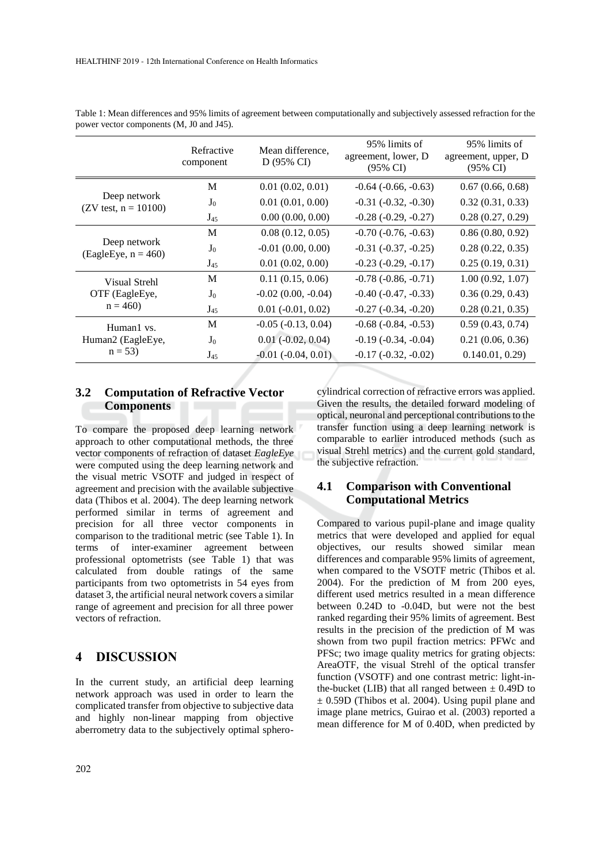|                                              | Refractive<br>component | Mean difference,<br>D (95% CI) | 95% limits of<br>agreement, lower, D<br>(95% CI) | 95% limits of<br>agreement, upper, D<br>(95% CI) |
|----------------------------------------------|-------------------------|--------------------------------|--------------------------------------------------|--------------------------------------------------|
| Deep network<br>(ZV test, $n = 10100$ )      | М                       | 0.01(0.02, 0.01)               | $-0.64$ $(-0.66, -0.63)$                         | 0.67(0.66, 0.68)                                 |
|                                              | J <sub>0</sub>          | 0.01(0.01, 0.00)               | $-0.31$ $(-0.32, -0.30)$                         | 0.32(0.31, 0.33)                                 |
|                                              | $J_{45}$                | 0.00(0.00, 0.00)               | $-0.28(-0.29, -0.27)$                            | 0.28(0.27, 0.29)                                 |
| Deep network<br>$(EagleEye, n = 460)$        | M                       | 0.08(0.12, 0.05)               | $-0.70$ $(-0.76, -0.63)$                         | 0.86(0.80, 0.92)                                 |
|                                              | $J_0$                   | $-0.01(0.00, 0.00)$            | $-0.31$ $(-0.37, -0.25)$                         | 0.28(0.22, 0.35)                                 |
|                                              | $J_{45}$                | 0.01(0.02, 0.00)               | $-0.23$ $(-0.29, -0.17)$                         | 0.25(0.19, 0.31)                                 |
| Visual Strehl<br>OTF (EagleEye,<br>$n = 460$ | М                       | 0.11(0.15, 0.06)               | $-0.78$ $(-0.86, -0.71)$                         | 1.00(0.92, 1.07)                                 |
|                                              | $J_0$                   | $-0.02$ (0.00, $-0.04$ )       | $-0.40$ $(-0.47, -0.33)$                         | 0.36(0.29, 0.43)                                 |
|                                              | $J_{45}$                | $0.01 (-0.01, 0.02)$           | $-0.27$ $(-0.34, -0.20)$                         | 0.28(0.21, 0.35)                                 |
| Human1 vs.<br>Human2 (EagleEye,<br>$n = 53$  | M                       | $-0.05$ $(-0.13, 0.04)$        | $-0.68$ $(-0.84, -0.53)$                         | 0.59(0.43, 0.74)                                 |
|                                              | J <sub>0</sub>          | $0.01$ ( $-0.02$ , $0.04$ )    | $-0.19(-0.34, -0.04)$                            | 0.21(0.06, 0.36)                                 |
|                                              | $J_{45}$                | $-0.01$ $(-0.04, 0.01)$        | $-0.17$ $(-0.32, -0.02)$                         | 0.140.01, 0.29                                   |

Table 1: Mean differences and 95% limits of agreement between computationally and subjectively assessed refraction for the power vector components (M, J0 and J45).

# **3.2 Computation of Refractive Vector Components**

To compare the proposed deep learning network approach to other computational methods, the three vector components of refraction of dataset *EagleEye*  were computed using the deep learning network and the visual metric VSOTF and judged in respect of agreement and precision with the available subjective data (Thibos et al. 2004). The deep learning network performed similar in terms of agreement and precision for all three vector components in comparison to the traditional metric (see Table 1). In terms of inter-examiner agreement between professional optometrists (see Table 1) that was calculated from double ratings of the same participants from two optometrists in 54 eyes from dataset 3, the artificial neural network covers a similar range of agreement and precision for all three power vectors of refraction.

# **4 DISCUSSION**

In the current study, an artificial deep learning network approach was used in order to learn the complicated transfer from objective to subjective data and highly non-linear mapping from objective aberrometry data to the subjectively optimal spherocylindrical correction of refractive errors was applied. Given the results, the detailed forward modeling of optical, neuronal and perceptional contributions to the transfer function using a deep learning network is comparable to earlier introduced methods (such as visual Strehl metrics) and the current gold standard, the subjective refraction.

### **4.1 Comparison with Conventional Computational Metrics**

Compared to various pupil-plane and image quality metrics that were developed and applied for equal objectives, our results showed similar mean differences and comparable 95% limits of agreement, when compared to the VSOTF metric (Thibos et al. 2004). For the prediction of M from 200 eyes, different used metrics resulted in a mean difference between 0.24D to -0.04D, but were not the best ranked regarding their 95% limits of agreement. Best results in the precision of the prediction of M was shown from two pupil fraction metrics: PFWc and PFSc; two image quality metrics for grating objects: AreaOTF, the visual Strehl of the optical transfer function (VSOTF) and one contrast metric: light-inthe-bucket (LIB) that all ranged between  $\pm$  0.49D to  $\pm$  0.59D (Thibos et al. 2004). Using pupil plane and image plane metrics, Guirao et al. (2003) reported a mean difference for M of 0.40D, when predicted by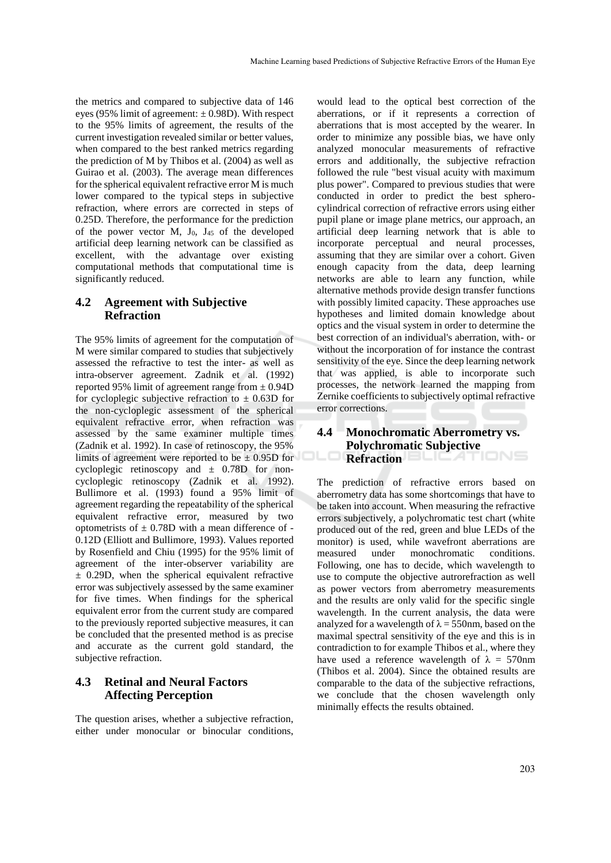the metrics and compared to subjective data of 146 eyes (95% limit of agreement:  $\pm$  0.98D). With respect to the 95% limits of agreement, the results of the current investigation revealed similar or better values, when compared to the best ranked metrics regarding the prediction of M by Thibos et al. (2004) as well as Guirao et al. (2003). The average mean differences for the spherical equivalent refractive error M is much lower compared to the typical steps in subjective refraction, where errors are corrected in steps of 0.25D. Therefore, the performance for the prediction of the power vector  $M$ ,  $J_0$ ,  $J_{45}$  of the developed artificial deep learning network can be classified as excellent, with the advantage over existing computational methods that computational time is significantly reduced.

# **4.2 Agreement with Subjective Refraction**

The 95% limits of agreement for the computation of M were similar compared to studies that subjectively assessed the refractive to test the inter- as well as intra-observer agreement. Zadnik et al. (1992) reported 95% limit of agreement range from  $\pm$  0.94D for cycloplegic subjective refraction to  $\pm$  0.63D for the non-cycloplegic assessment of the spherical equivalent refractive error, when refraction was assessed by the same examiner multiple times (Zadnik et al. 1992). In case of retinoscopy, the 95% limits of agreement were reported to be  $\pm$  0.95D for cycloplegic retinoscopy and  $\pm$  0.78D for noncycloplegic retinoscopy (Zadnik et al. 1992). Bullimore et al. (1993) found a 95% limit of agreement regarding the repeatability of the spherical equivalent refractive error, measured by two optometrists of  $\pm$  0.78D with a mean difference of -0.12D (Elliott and Bullimore, 1993). Values reported by Rosenfield and Chiu (1995) for the 95% limit of agreement of the inter-observer variability are  $\pm$  0.29D, when the spherical equivalent refractive error was subjectively assessed by the same examiner for five times. When findings for the spherical equivalent error from the current study are compared to the previously reported subjective measures, it can be concluded that the presented method is as precise and accurate as the current gold standard, the subjective refraction.

# **4.3 Retinal and Neural Factors Affecting Perception**

The question arises, whether a subjective refraction, either under monocular or binocular conditions,

would lead to the optical best correction of the aberrations, or if it represents a correction of aberrations that is most accepted by the wearer. In order to minimize any possible bias, we have only analyzed monocular measurements of refractive errors and additionally, the subjective refraction followed the rule "best visual acuity with maximum plus power". Compared to previous studies that were conducted in order to predict the best spherocylindrical correction of refractive errors using either pupil plane or image plane metrics, our approach, an artificial deep learning network that is able to incorporate perceptual and neural processes, assuming that they are similar over a cohort. Given enough capacity from the data, deep learning networks are able to learn any function, while alternative methods provide design transfer functions with possibly limited capacity. These approaches use hypotheses and limited domain knowledge about optics and the visual system in order to determine the best correction of an individual's aberration, with- or without the incorporation of for instance the contrast sensitivity of the eye. Since the deep learning network that was applied, is able to incorporate such processes, the network learned the mapping from Zernike coefficients to subjectively optimal refractive error corrections.

# **4.4 Monochromatic Aberrometry vs. Polychromatic Subjective Refraction**

The prediction of refractive errors based on aberrometry data has some shortcomings that have to be taken into account. When measuring the refractive errors subjectively, a polychromatic test chart (white produced out of the red, green and blue LEDs of the monitor) is used, while wavefront aberrations are measured under monochromatic conditions. Following, one has to decide, which wavelength to use to compute the objective autrorefraction as well as power vectors from aberrometry measurements and the results are only valid for the specific single wavelength. In the current analysis, the data were analyzed for a wavelength of  $\lambda = 550$ nm, based on the maximal spectral sensitivity of the eye and this is in contradiction to for example Thibos et al., where they have used a reference wavelength of  $\lambda = 570$ nm (Thibos et al. 2004). Since the obtained results are comparable to the data of the subjective refractions, we conclude that the chosen wavelength only minimally effects the results obtained.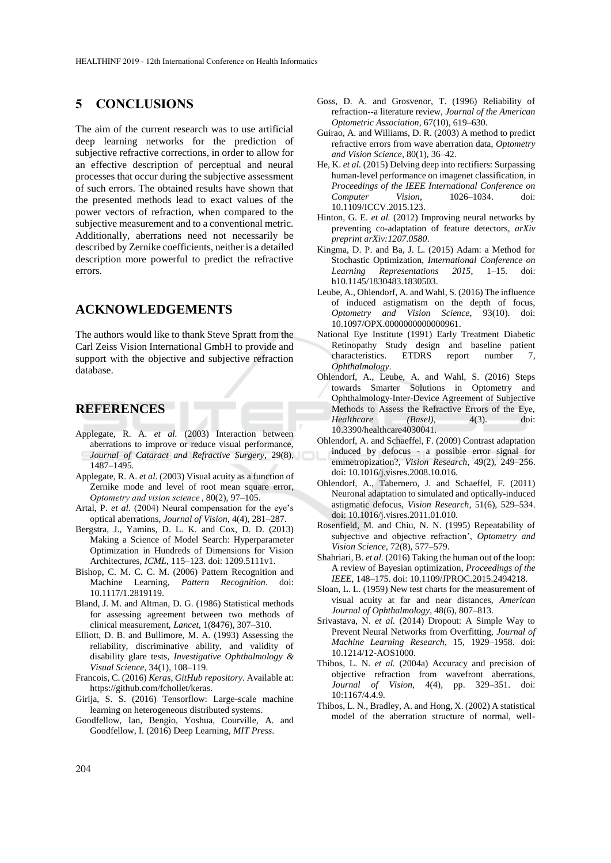# **5 CONCLUSIONS**

The aim of the current research was to use artificial deep learning networks for the prediction of subjective refractive corrections, in order to allow for an effective description of perceptual and neural processes that occur during the subjective assessment of such errors. The obtained results have shown that the presented methods lead to exact values of the power vectors of refraction, when compared to the subjective measurement and to a conventional metric. Additionally, aberrations need not necessarily be described by Zernike coefficients, neither is a detailed description more powerful to predict the refractive errors.

# **ACKNOWLEDGEMENTS**

The authors would like to thank Steve Spratt from the Carl Zeiss Vision International GmbH to provide and support with the objective and subjective refraction database.

# **REFERENCES**

- Applegate, R. A. *et al.* (2003) Interaction between aberrations to improve or reduce visual performance, *Journal of Cataract and Refractive Surgery*, 29(8), 1487–1495.
- Applegate, R. A. *et al.* (2003) Visual acuity as a function of Zernike mode and level of root mean square error, *Optometry and vision science*, 80(2), 97–105.
- Artal, P. *et al.* (2004) Neural compensation for the eye's optical aberrations, *Journal of Vision*, 4(4), 281–287.
- Bergstra, J., Yamins, D. L. K. and Cox, D. D. (2013) Making a Science of Model Search: Hyperparameter Optimization in Hundreds of Dimensions for Vision Architectures, *ICML*, 115–123. doi: 1209.5111v1.
- Bishop, C. M. C. C. M. (2006) Pattern Recognition and Machine Learning, *Pattern Recognition*. doi: 10.1117/1.2819119.
- Bland, J. M. and Altman, D. G. (1986) Statistical methods for assessing agreement between two methods of clinical measurement, *Lancet*, 1(8476), 307–310.
- Elliott, D. B. and Bullimore, M. A. (1993) Assessing the reliability, discriminative ability, and validity of disability glare tests, *Investigative Ophthalmology & Visual Science*, 34(1), 108–119.
- Francois, C. (2016) *Keras*, *GitHub repository*. Available at: https://github.com/fchollet/keras.
- Girija, S. S. (2016) Tensorflow: Large-scale machine learning on heterogeneous distributed systems.
- Goodfellow, Ian, Bengio, Yoshua, Courville, A. and Goodfellow, I. (2016) Deep Learning, *MIT Press*.
- Goss, D. A. and Grosvenor, T. (1996) Reliability of refraction--a literature review, *Journal of the American Optometric Association*, 67(10), 619–630.
- Guirao, A. and Williams, D. R. (2003) A method to predict refractive errors from wave aberration data, *Optometry and Vision Science*, 80(1), 36–42.
- He, K. *et al.* (2015) Delving deep into rectifiers: Surpassing human-level performance on imagenet classification, in *Proceedings of the IEEE International Conference on Computer Vision*, 1026–1034. doi: 10.1109/ICCV.2015.123.
- Hinton, G. E. *et al.* (2012) Improving neural networks by preventing co-adaptation of feature detectors, *arXiv preprint arXiv:1207.0580*.
- Kingma, D. P. and Ba, J. L. (2015) Adam: a Method for Stochastic Optimization, *International Conference on Learning Representations 2015*, 1–15. doi: h10.1145/1830483.1830503.
- Leube, A., Ohlendorf, A. and Wahl, S. (2016) The influence of induced astigmatism on the depth of focus, *Optometry and Vision Science*, 93(10). doi: 10.1097/OPX.0000000000000961.
- National Eye Institute (1991) Early Treatment Diabetic Retinopathy Study design and baseline patient characteristics. ETDRS report number 7, *Ophthalmology*.
- Ohlendorf, A., Leube, A. and Wahl, S. (2016) Steps towards Smarter Solutions in Optometry and Ophthalmology-Inter-Device Agreement of Subjective Methods to Assess the Refractive Errors of the Eye, *Healthcare (Basel)*, 4(3). doi: 10.3390/healthcare4030041.
- Ohlendorf, A. and Schaeffel, F. (2009) Contrast adaptation induced by defocus - a possible error signal for emmetropization?, *Vision Research*, 49(2), 249–256. doi: 10.1016/j.visres.2008.10.016.
- Ohlendorf, A., Tabernero, J. and Schaeffel, F. (2011) Neuronal adaptation to simulated and optically-induced astigmatic defocus, *Vision Research*, 51(6), 529–534. doi: 10.1016/j.visres.2011.01.010.
- Rosenfield, M. and Chiu, N. N. (1995) Repeatability of subjective and objective refraction', *Optometry and Vision Science*, 72(8), 577–579.
- Shahriari, B. *et al.* (2016) Taking the human out of the loop: A review of Bayesian optimization, *Proceedings of the IEEE*, 148–175. doi: 10.1109/JPROC.2015.2494218.
- Sloan, L. L. (1959) New test charts for the measurement of visual acuity at far and near distances, *American Journal of Ophthalmology*, 48(6), 807–813.
- Srivastava, N. *et al.* (2014) Dropout: A Simple Way to Prevent Neural Networks from Overfitting, *Journal of Machine Learning Research*, 15, 1929–1958. doi: 10.1214/12-AOS1000.
- Thibos, L. N. *et al.* (2004a) Accuracy and precision of objective refraction from wavefront aberrations, *Journal of Vision*, 4(4), pp. 329–351. doi: 10:1167/4.4.9.
- Thibos, L. N., Bradley, A. and Hong, X. (2002) A statistical model of the aberration structure of normal, well-